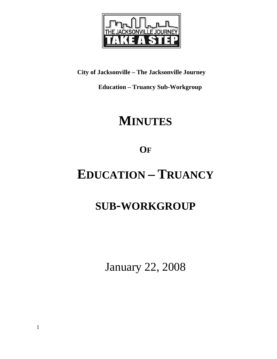

**City of Jacksonville – The Jacksonville Journey** 

 **Education – Truancy Sub-Workgroup** 

## **MINUTES**

**OF**

# **EDUCATION – TRUANCY**

## **SUB-WORKGROUP**

January 22, 2008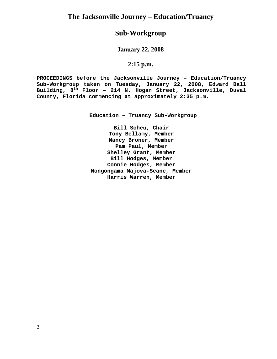## **Sub-Workgroup**

**January 22, 2008** 

## **2:15 p.m.**

**PROCEEDINGS before the Jacksonville Journey – Education/Truancy Sub-Workgroup taken on Tuesday, January 22, 2008, Edward Ball Building, 8th Floor – 214 N. Hogan Street, Jacksonville, Duval County, Florida commencing at approximately 2:35 p.m.** 

**Education – Truancy Sub-Workgroup** 

**Bill Scheu, Chair Tony Bellamy, Member Nancy Broner, Member Pam Paul, Member Shelley Grant, Member Bill Hodges, Member Connie Hodges, Member Nongongama Majova-Seane, Member Harris Warren, Member**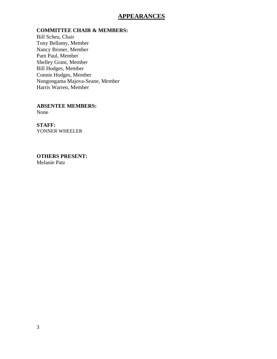## **APPEARANCES**

### **COMMITTEE CHAIR & MEMBERS:**

Bill Scheu, Chair Tony Bellamy, Member Nancy Broner, Member Pam Paul, Member Shelley Grant, Member Bill Hodges, Member Connie Hodges, Member Nongongama Majova-Seane, Member Harris Warren, Member

**ABSENTEE MEMBERS:**  None

**STAFF:**  YONNER WHEELER

**OTHERS PRESENT:**  Melanie Patz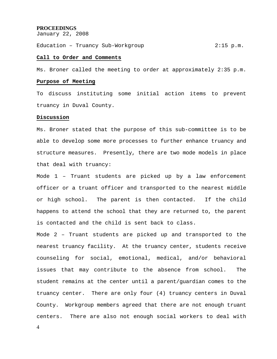### **PROCEEDINGS**

January 22, 2008

Education – Truancy Sub-Workgroup 2:15 p.m.

### **Call to Order and Comments**

Ms. Broner called the meeting to order at approximately 2:35 p.m.

#### **Purpose of Meeting**

To discuss instituting some initial action items to prevent truancy in Duval County.

#### **Discussion**

Ms. Broner stated that the purpose of this sub-committee is to be able to develop some more processes to further enhance truancy and structure measures. Presently, there are two mode models in place that deal with truancy:

Mode 1 – Truant students are picked up by a law enforcement officer or a truant officer and transported to the nearest middle or high school. The parent is then contacted. If the child happens to attend the school that they are returned to, the parent is contacted and the child is sent back to class.

Mode 2 – Truant students are picked up and transported to the nearest truancy facility. At the truancy center, students receive counseling for social, emotional, medical, and/or behavioral issues that may contribute to the absence from school. The student remains at the center until a parent/guardian comes to the truancy center. There are only four (4) truancy centers in Duval County. Workgroup members agreed that there are not enough truant centers. There are also not enough social workers to deal with

4